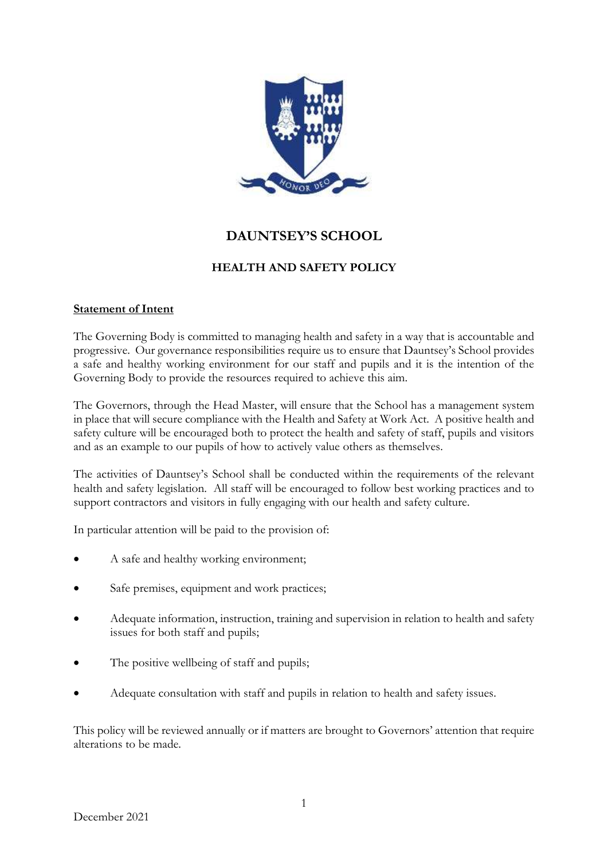

# **DAUNTSEY'S SCHOOL**

# **HEALTH AND SAFETY POLICY**

### **Statement of Intent**

The Governing Body is committed to managing health and safety in a way that is accountable and progressive. Our governance responsibilities require us to ensure that Dauntsey's School provides a safe and healthy working environment for our staff and pupils and it is the intention of the Governing Body to provide the resources required to achieve this aim.

The Governors, through the Head Master, will ensure that the School has a management system in place that will secure compliance with the Health and Safety at Work Act. A positive health and safety culture will be encouraged both to protect the health and safety of staff, pupils and visitors and as an example to our pupils of how to actively value others as themselves.

The activities of Dauntsey's School shall be conducted within the requirements of the relevant health and safety legislation. All staff will be encouraged to follow best working practices and to support contractors and visitors in fully engaging with our health and safety culture.

In particular attention will be paid to the provision of:

- A safe and healthy working environment;
- Safe premises, equipment and work practices;
- Adequate information, instruction, training and supervision in relation to health and safety issues for both staff and pupils;
- The positive wellbeing of staff and pupils;
- Adequate consultation with staff and pupils in relation to health and safety issues.

This policy will be reviewed annually or if matters are brought to Governors' attention that require alterations to be made.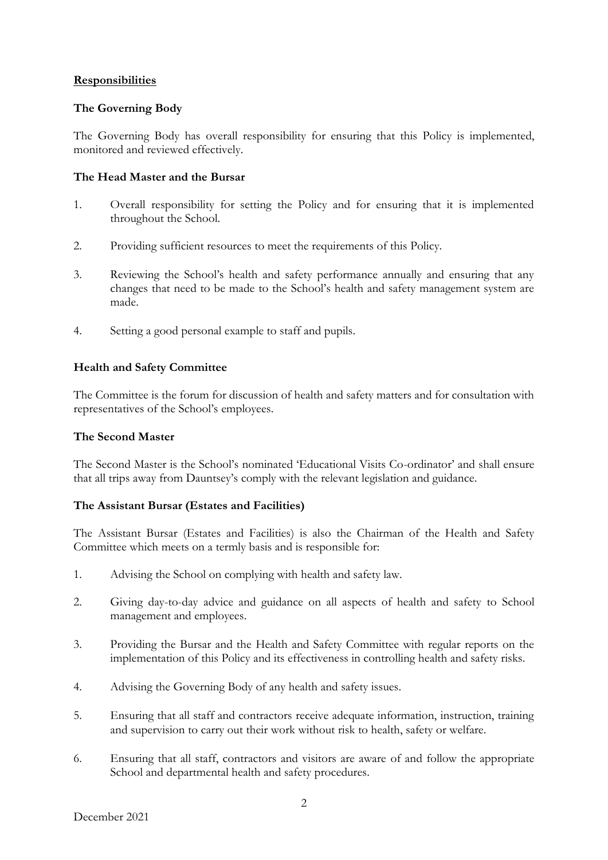#### **Responsibilities**

### **The Governing Body**

The Governing Body has overall responsibility for ensuring that this Policy is implemented, monitored and reviewed effectively.

#### **The Head Master and the Bursar**

- 1. Overall responsibility for setting the Policy and for ensuring that it is implemented throughout the School.
- 2. Providing sufficient resources to meet the requirements of this Policy.
- 3. Reviewing the School's health and safety performance annually and ensuring that any changes that need to be made to the School's health and safety management system are made.
- 4. Setting a good personal example to staff and pupils.

### **Health and Safety Committee**

The Committee is the forum for discussion of health and safety matters and for consultation with representatives of the School's employees.

#### **The Second Master**

The Second Master is the School's nominated 'Educational Visits Co-ordinator' and shall ensure that all trips away from Dauntsey's comply with the relevant legislation and guidance.

## **The Assistant Bursar (Estates and Facilities)**

The Assistant Bursar (Estates and Facilities) is also the Chairman of the Health and Safety Committee which meets on a termly basis and is responsible for:

- 1. Advising the School on complying with health and safety law.
- 2. Giving day-to-day advice and guidance on all aspects of health and safety to School management and employees.
- 3. Providing the Bursar and the Health and Safety Committee with regular reports on the implementation of this Policy and its effectiveness in controlling health and safety risks.
- 4. Advising the Governing Body of any health and safety issues.
- 5. Ensuring that all staff and contractors receive adequate information, instruction, training and supervision to carry out their work without risk to health, safety or welfare.
- 6. Ensuring that all staff, contractors and visitors are aware of and follow the appropriate School and departmental health and safety procedures.